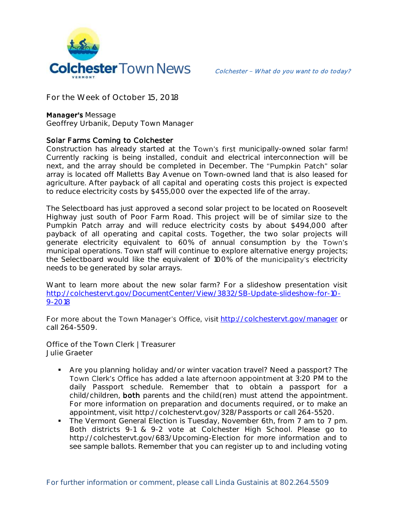

**For the Week of October 15, 2018**

## **Manager's Message**

**Geoffrey Urbanik, Deputy Town Manager**

## Solar Farms Coming to Colchester

Construction has already started at the Town's first municipally-owned solar farm! Currently racking is being installed, conduit and electrical interconnection will be next, and the array should be completed in December. The "Pumpkin Patch" solar array is located off Malletts Bay Avenue on Town-owned land that is also leased for agriculture. After payback of all capital and operating costs this project is expected to reduce electricity costs by \$455,000 over the expected life of the array.

The Selectboard has just approved a second solar project to be located on Roosevelt Highway just south of Poor Farm Road. This project will be of similar size to the Pumpkin Patch array and will reduce electricity costs by about \$494,000 after payback of all operating and capital costs. Together, the two solar projects will generate electricity equivalent to 60% of annual consumption municipal operations. Town staff will continue to explore alternative energy projects; the Selectboard would like the equivalent of 100% of the municipality's electricity needs to be generated by solar arrays.

Want to learn more about the new solar farm? For a slideshow presentation visit [http://colchestervt.gov/DocumentCenter/View/3832/SB-Update-slideshow-for-10-](http://colchestervt.gov/DocumentCenter/View/3832/SB-Update-slideshow-for-10-9-2018) [9-2018](http://colchestervt.gov/DocumentCenter/View/3832/SB-Update-slideshow-for-10-9-2018)

For more about the Town Manager's Office, visit <http://colchestervt.gov/manager> or call 264-5509.

**Office of the Town Clerk | Treasurer Julie Graeter**

- Are you planning holiday and/or winter vacation travel? Need a passport? The Town Clerk's Office has added a late afternoon appointment at 3:20 PM to the daily Passport schedule. Remember that to obtain a passport for a child/children, both parents and the child(ren) must attend the appointment. For more information on preparation and documents required, or to make an appointment, visit http://colchestervt.gov/328/Passports or call 264-5520.
- The Vermont General Election is Tuesday, November 6th, from 7 am to 7 pm. Both districts 9-1 & 9-2 vote at Colchester High School. Please go to http://colchestervt.gov/683/Upcoming-Election for more information and to see sample ballots. Remember that you can register up to and including voting